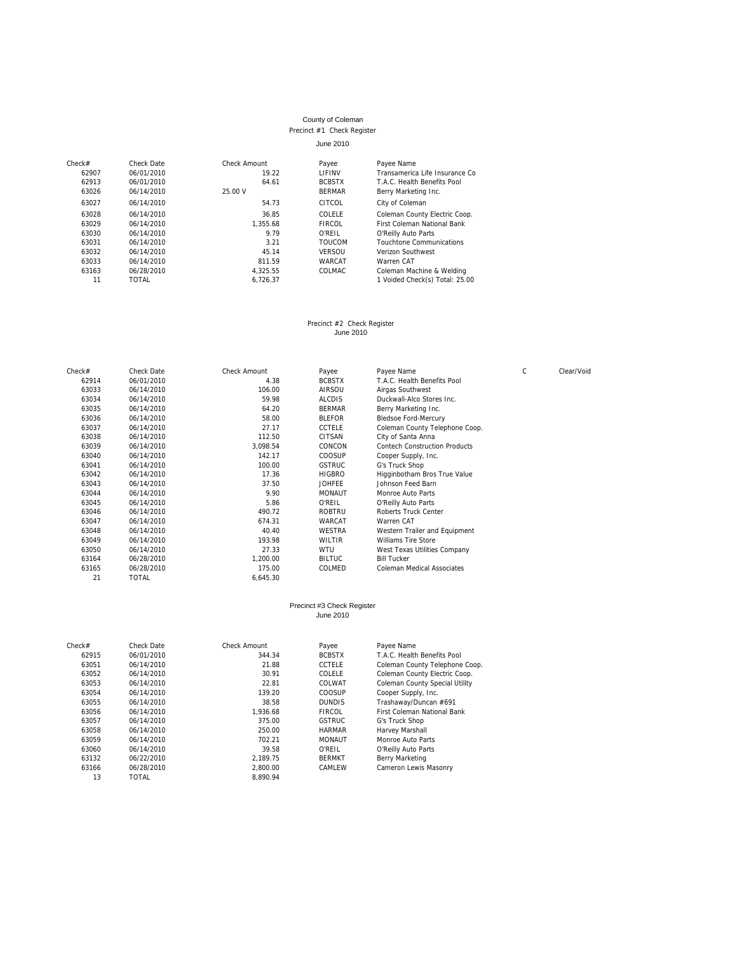#### County of Coleman Precinct #1 Check Register June 2010

### Check# Check Date Check Amount Payee 62907 06/01/2010 19.22 LIFINV 62907 06/01/2010 19.22 LIFINV Transamerica Life Insurance Co 62013 06/01/2010 64.61 BCBSTX T.A.C. Health Benefits Pool<br>63026 06/14/2010 65.00 64.61 BCBSTX T.A.C. Health Benefits Pool Berry Marketing Inc. 63027 06/14/2010 54.73 CITCOL City of Coleman 63028 06/14/2010 54.73 36.85 COLELE Coleman County 63028 06/14/2010 36.85 COLELE Coleman County Electric Coop. 63029 06/14/2010 1,355.68 FIRCOL First Coleman National Bank 63030 06/14/2010 9.79 O'REIL O'Reilly Auto Parts 63031 06/14/2010 3.21 TOUCOM Touchtone Communications 63032 06/14/2010 45.14 VERSOU Verizon Southwest 63033 06/14/2010 811.59 WARCAT Warren CAT 63163 06/28/2010 4,325.55 COLMAC Coleman Machine & Welding 11 TOTAL 6,726.37 1 Voided Check(s) Total: 25.00

Precinct #2 Check Register June 2010

| Check# | Check Date   | <b>Check Amount</b> | Payee         | Payee Name                           | C | Clear/Void |
|--------|--------------|---------------------|---------------|--------------------------------------|---|------------|
| 62914  | 06/01/2010   | 4.38                | <b>BCBSTX</b> | T.A.C. Health Benefits Pool          |   |            |
| 63033  | 06/14/2010   | 106.00              | AIRSOU        | Airgas Southwest                     |   |            |
| 63034  | 06/14/2010   | 59.98               | <b>ALCDIS</b> | Duckwall-Alco Stores Inc.            |   |            |
| 63035  | 06/14/2010   | 64.20               | <b>BERMAR</b> | Berry Marketing Inc.                 |   |            |
| 63036  | 06/14/2010   | 58.00               | <b>BLEFOR</b> | <b>Bledsoe Ford-Mercury</b>          |   |            |
| 63037  | 06/14/2010   | 27.17               | <b>CCTELE</b> | Coleman County Telephone Coop.       |   |            |
| 63038  | 06/14/2010   | 112.50              | CITSAN        | City of Santa Anna                   |   |            |
| 63039  | 06/14/2010   | 3,098.54            | CONCON        | <b>Contech Construction Products</b> |   |            |
| 63040  | 06/14/2010   | 142.17              | <b>COOSUP</b> | Cooper Supply, Inc.                  |   |            |
| 63041  | 06/14/2010   | 100.00              | <b>GSTRUC</b> | G's Truck Shop                       |   |            |
| 63042  | 06/14/2010   | 17.36               | <b>HIGBRO</b> | Higginbotham Bros True Value         |   |            |
| 63043  | 06/14/2010   | 37.50               | <b>JOHFEE</b> | Johnson Feed Barn                    |   |            |
| 63044  | 06/14/2010   | 9.90                | <b>MONAUT</b> | Monroe Auto Parts                    |   |            |
| 63045  | 06/14/2010   | 5.86                | O'REIL        | O'Reilly Auto Parts                  |   |            |
| 63046  | 06/14/2010   | 490.72              | <b>ROBTRU</b> | Roberts Truck Center                 |   |            |
| 63047  | 06/14/2010   | 674.31              | WARCAT        | Warren CAT                           |   |            |
| 63048  | 06/14/2010   | 40.40               | <b>WESTRA</b> | Western Trailer and Equipment        |   |            |
| 63049  | 06/14/2010   | 193.98              | WILTIR        | <b>Williams Tire Store</b>           |   |            |
| 63050  | 06/14/2010   | 27.33               | <b>WTU</b>    | West Texas Utilities Company         |   |            |
| 63164  | 06/28/2010   | 1,200.00            | <b>BILTUC</b> | <b>Bill Tucker</b>                   |   |            |
| 63165  | 06/28/2010   | 175.00              | COLMED        | <b>Coleman Medical Associates</b>    |   |            |
| 21     | <b>TOTAL</b> | 6.645.30            |               |                                      |   |            |

#### Precinct #3 Check Register June 2010

| Check# | Check Date   | Check Amount | Payee         | Payee Name                            |
|--------|--------------|--------------|---------------|---------------------------------------|
| 62915  | 06/01/2010   | 344.34       | <b>BCBSTX</b> | T.A.C. Health Benefits Pool           |
| 63051  | 06/14/2010   | 21.88        | <b>CCTELE</b> | Coleman County Telephone Coop.        |
| 63052  | 06/14/2010   | 30.91        | COLELE        | Coleman County Electric Coop.         |
| 63053  | 06/14/2010   | 22.81        | COLWAT        | <b>Coleman County Special Utility</b> |
| 63054  | 06/14/2010   | 139.20       | COOSUP        | Cooper Supply, Inc.                   |
| 63055  | 06/14/2010   | 38.58        | <b>DUNDIS</b> | Trashaway/Duncan #691                 |
| 63056  | 06/14/2010   | 1.936.68     | <b>FIRCOL</b> | <b>First Coleman National Bank</b>    |
| 63057  | 06/14/2010   | 375.00       | <b>GSTRUC</b> | G's Truck Shop                        |
| 63058  | 06/14/2010   | 250.00       | <b>HARMAR</b> | Harvey Marshall                       |
| 63059  | 06/14/2010   | 702.21       | <b>MONAUT</b> | Monroe Auto Parts                     |
| 63060  | 06/14/2010   | 39.58        | O'REIL        | O'Reilly Auto Parts                   |
| 63132  | 06/22/2010   | 2.189.75     | <b>BERMKT</b> | Berry Marketing                       |
| 63166  | 06/28/2010   | 2.800.00     | CAMLEW        | Cameron Lewis Masonry                 |
| 13     | <b>TOTAL</b> | 8.890.94     |               |                                       |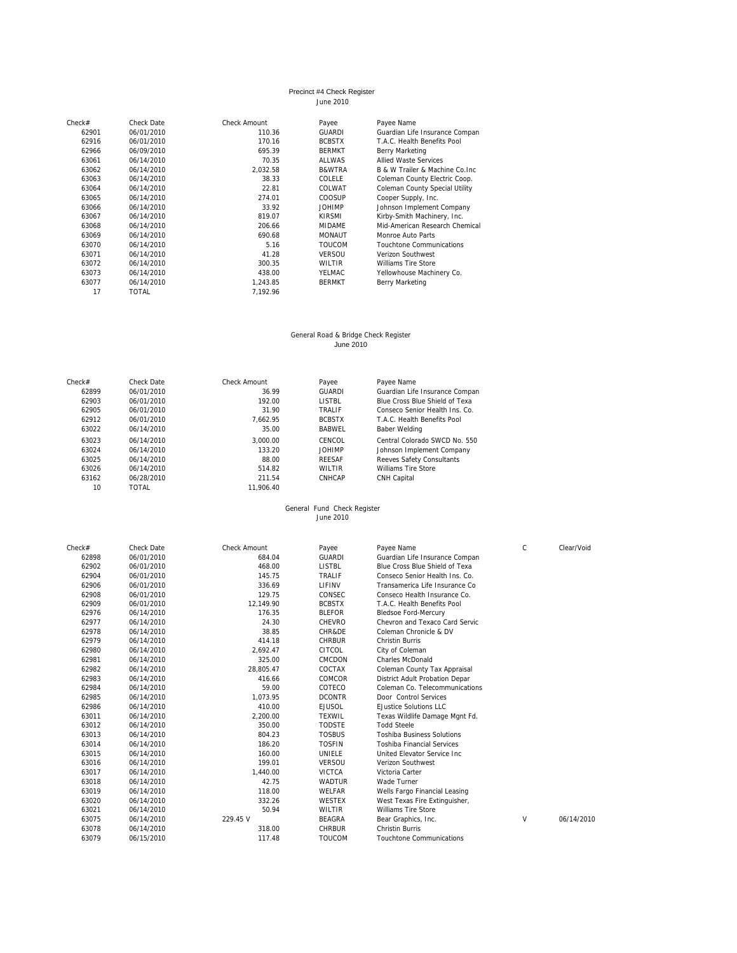### Precinct #4 Check Register June 2010

| Check# | Check Date   | Check Amount | Payee         | Payee Name                            |
|--------|--------------|--------------|---------------|---------------------------------------|
| 62901  | 06/01/2010   | 110.36       | <b>GUARDI</b> | Guardian Life Insurance Compan        |
| 62916  | 06/01/2010   | 170.16       | <b>BCBSTX</b> | T.A.C. Health Benefits Pool           |
| 62966  | 06/09/2010   | 695.39       | <b>BERMKT</b> | Berry Marketing                       |
| 63061  | 06/14/2010   | 70.35        | <b>ALLWAS</b> | <b>Allied Waste Services</b>          |
| 63062  | 06/14/2010   | 2.032.58     | B&WTRA        | B & W Trailer & Machine Co. Inc.      |
| 63063  | 06/14/2010   | 38.33        | COLELE        | Coleman County Electric Coop.         |
| 63064  | 06/14/2010   | 22.81        | COLWAT        | <b>Coleman County Special Utility</b> |
| 63065  | 06/14/2010   | 274.01       | COOSUP        | Cooper Supply, Inc.                   |
| 63066  | 06/14/2010   | 33.92        | <b>JOHIMP</b> | Johnson Implement Company             |
| 63067  | 06/14/2010   | 819.07       | <b>KIRSMI</b> | Kirby-Smith Machinery, Inc.           |
| 63068  | 06/14/2010   | 206.66       | <b>MIDAME</b> | Mid-American Research Chemical        |
| 63069  | 06/14/2010   | 690.68       | <b>MONAUT</b> | Monroe Auto Parts                     |
| 63070  | 06/14/2010   | 5.16         | <b>TOUCOM</b> | <b>Touchtone Communications</b>       |
| 63071  | 06/14/2010   | 41.28        | <b>VERSOU</b> | Verizon Southwest                     |
| 63072  | 06/14/2010   | 300.35       | WII TIR       | Williams Tire Store                   |
| 63073  | 06/14/2010   | 438.00       | YELMAC        | Yellowhouse Machinery Co.             |
| 63077  | 06/14/2010   | 1,243.85     | <b>BERMKT</b> | Berry Marketing                       |
| 17     | <b>TOTAL</b> | 7.192.96     |               |                                       |
|        |              |              |               |                                       |

# General Road & Bridge Check Register June 2010

| M.<br>۰. | $\sim$ | $\sim$ | <b>UUILU LUIU</b><br>$\sim$ | $\sim$ |  |
|----------|--------|--------|-----------------------------|--------|--|
|          |        |        |                             |        |  |
|          |        |        |                             |        |  |

| Check# | Check Date | Check Amount | Payee          | Payee Name                     |
|--------|------------|--------------|----------------|--------------------------------|
| 62899  | 06/01/2010 | 36.99        | GUARDI         | Guardian Life Insurance Compan |
| 62903  | 06/01/2010 | 192.00       | <b>LISTBL</b>  | Blue Cross Blue Shield of Texa |
| 62905  | 06/01/2010 | 31.90        | <b>TRAI IF</b> | Conseco Senior Health Ins. Co. |
| 62912  | 06/01/2010 | 7.662.95     | <b>BCBSTX</b>  | T.A.C. Health Benefits Pool    |
| 63022  | 06/14/2010 | 35.00        | <b>BABWEL</b>  | <b>Baber Welding</b>           |
| 63023  | 06/14/2010 | 3.000.00     | CENCOL         | Central Colorado SWCD No. 550  |
| 63024  | 06/14/2010 | 133.20       | <b>JOHIMP</b>  | Johnson Implement Company      |
| 63025  | 06/14/2010 | 88.00        | <b>RFFSAF</b>  | Reeves Safety Consultants      |
| 63026  | 06/14/2010 | 514.82       | WII TIR        | Williams Tire Store            |
| 63162  | 06/28/2010 | 211.54       | CNHCAP         | CNH Capital                    |
| 10     | TOTAI      | 11.906.40    |                |                                |

## General Fund Check Register June 2010

| Check# | Check Date | <b>Check Amount</b> | Payee         | Payee Name                        | $\mathsf{C}$ | Clear/Void |
|--------|------------|---------------------|---------------|-----------------------------------|--------------|------------|
| 62898  | 06/01/2010 | 684.04              | <b>GUARDI</b> | Guardian Life Insurance Compan    |              |            |
| 62902  | 06/01/2010 | 468.00              | <b>LISTBL</b> | Blue Cross Blue Shield of Texa    |              |            |
| 62904  | 06/01/2010 | 145.75              | TRALIF        | Conseco Senior Health Ins. Co.    |              |            |
| 62906  | 06/01/2010 | 336.69              | LIFINV        | Transamerica Life Insurance Co    |              |            |
| 62908  | 06/01/2010 | 129.75              | CONSEC        | Conseco Health Insurance Co.      |              |            |
| 62909  | 06/01/2010 | 12,149.90           | <b>BCBSTX</b> | T.A.C. Health Benefits Pool       |              |            |
| 62976  | 06/14/2010 | 176.35              | <b>BLEFOR</b> | <b>Bledsoe Ford-Mercury</b>       |              |            |
| 62977  | 06/14/2010 | 24.30               | CHEVRO        | Chevron and Texaco Card Servic    |              |            |
| 62978  | 06/14/2010 | 38.85               | CHR&DE        | Coleman Chronicle & DV            |              |            |
| 62979  | 06/14/2010 | 414.18              | <b>CHRBUR</b> | <b>Christin Burris</b>            |              |            |
| 62980  | 06/14/2010 | 2.692.47            | CITCOL        | City of Coleman                   |              |            |
| 62981  | 06/14/2010 | 325.00              | <b>CMCDON</b> | <b>Charles McDonald</b>           |              |            |
| 62982  | 06/14/2010 | 28.805.47           | COCTAX        | Coleman County Tax Appraisal      |              |            |
| 62983  | 06/14/2010 | 416.66              | COMCOR        | District Adult Probation Depar    |              |            |
| 62984  | 06/14/2010 | 59.00               | COTECO        | Coleman Co. Telecommunications    |              |            |
| 62985  | 06/14/2010 | 1,073.95            | <b>DCONTR</b> | Door Control Services             |              |            |
| 62986  | 06/14/2010 | 410.00              | <b>EJUSOL</b> | <b>EJustice Solutions LLC</b>     |              |            |
| 63011  | 06/14/2010 | 2,200.00            | <b>TEXWIL</b> | Texas Wildlife Damage Mgnt Fd.    |              |            |
| 63012  | 06/14/2010 | 350.00              | <b>TODSTE</b> | <b>Todd Steele</b>                |              |            |
| 63013  | 06/14/2010 | 804.23              | <b>TOSBUS</b> | <b>Toshiba Business Solutions</b> |              |            |
| 63014  | 06/14/2010 | 186.20              | <b>TOSFIN</b> | <b>Toshiba Financial Services</b> |              |            |
| 63015  | 06/14/2010 | 160.00              | UNIELE        | United Elevator Service Inc.      |              |            |
| 63016  | 06/14/2010 | 199.01              | <b>VERSOU</b> | Verizon Southwest                 |              |            |
| 63017  | 06/14/2010 | 1,440.00            | <b>VICTCA</b> | Victoria Carter                   |              |            |
| 63018  | 06/14/2010 | 42.75               | <b>WADTUR</b> | Wade Turner                       |              |            |
| 63019  | 06/14/2010 | 118.00              | WELFAR        | Wells Fargo Financial Leasing     |              |            |
| 63020  | 06/14/2010 | 332.26              | <b>WESTEX</b> | West Texas Fire Extinguisher,     |              |            |
| 63021  | 06/14/2010 | 50.94               | <b>WILTIR</b> | <b>Williams Tire Store</b>        |              |            |
| 63075  | 06/14/2010 | 229.45 V            | <b>BEAGRA</b> | Bear Graphics, Inc.               | V            | 06/14/2010 |
| 63078  | 06/14/2010 | 318.00              | <b>CHRBUR</b> | <b>Christin Burris</b>            |              |            |
| 63079  | 06/15/2010 | 117.48              | <b>TOUCOM</b> | <b>Touchtone Communications</b>   |              |            |